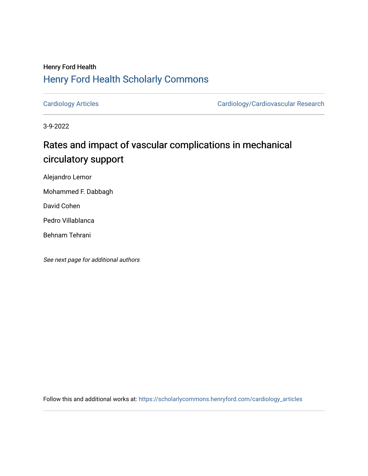## Henry Ford Health [Henry Ford Health Scholarly Commons](https://scholarlycommons.henryford.com/)

[Cardiology Articles](https://scholarlycommons.henryford.com/cardiology_articles) [Cardiology/Cardiovascular Research](https://scholarlycommons.henryford.com/cardiology) 

3-9-2022

# Rates and impact of vascular complications in mechanical circulatory support

Alejandro Lemor

Mohammed F. Dabbagh

David Cohen

Pedro Villablanca

Behnam Tehrani

See next page for additional authors

Follow this and additional works at: [https://scholarlycommons.henryford.com/cardiology\\_articles](https://scholarlycommons.henryford.com/cardiology_articles?utm_source=scholarlycommons.henryford.com%2Fcardiology_articles%2F901&utm_medium=PDF&utm_campaign=PDFCoverPages)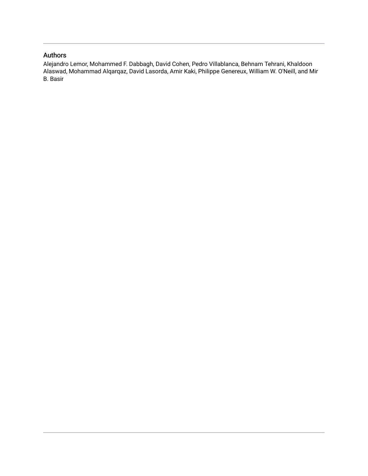#### Authors

Alejandro Lemor, Mohammed F. Dabbagh, David Cohen, Pedro Villablanca, Behnam Tehrani, Khaldoon Alaswad, Mohammad Alqarqaz, David Lasorda, Amir Kaki, Philippe Genereux, William W. O'Neill, and Mir B. Basir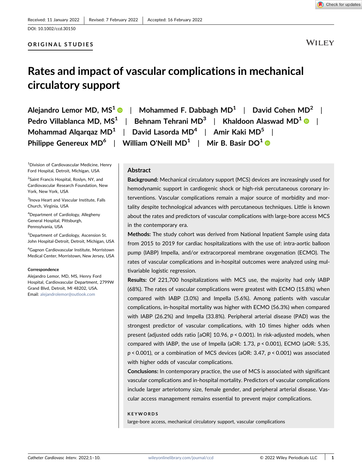#### ORIGINAL STUDIES

**WILEY** 

# Rates and impact of vascular complications in mechanical circulatory support

| Alejandro Lemor MD, $MS^1 \cdot \bullet \cdot$   Mohammed F. Dabbagh MD <sup>1</sup>   David Cohen MD <sup>2</sup>     |
|------------------------------------------------------------------------------------------------------------------------|
| Pedro Villablanca MD, MS <sup>1</sup>  <br>Behnam Tehrani MD <sup>3</sup>   Khaldoon Alaswad MD <sup>1</sup> $\bullet$ |
| Mohammad Algargaz MD <sup>1</sup>   David Lasorda MD <sup>4</sup>   Amir Kaki MD <sup>5</sup>                          |
| Philippe Genereux MD <sup>6</sup>   William O'Neill MD <sup>1</sup>   Mir B. Basir DO <sup>1</sup> ( $\bullet$         |

1 Division of Cardiovascular Medicine, Henry Ford Hospital, Detroit, Michigan, USA

<sup>2</sup>Saint Francis Hospital, Roslyn, NY, and Cardiovascular Research Foundation, New York, New York, USA

3 Inova Heart and Vascular Institute, Falls Church, Virginia, USA

4 Department of Cardiology, Allegheny General Hospital, Pittsburgh, Pennsylvania, USA

5 Department of Cardiology, Ascension St. John Hospital‐Detroit, Detroit, Michigan, USA

6 Gagnon Cardiovascular Institute, Morristown Medical Center, Morristown, New Jersey, USA

#### Correspondence

Alejandro Lemor, MD, MS, Henry Ford Hospital, Cardiovascular Department, 2799W Grand Blvd, Detroit, MI 48202, USA. Email: [alejandrolemor@outlook.com](mailto:alejandrolemor@outlook.com)

**Abstract** 

Background: Mechanical circulatory support (MCS) devices are increasingly used for hemodynamic support in cardiogenic shock or high-risk percutaneous coronary interventions. Vascular complications remain a major source of morbidity and mortality despite technological advances with percutaneous techniques. Little is known about the rates and predictors of vascular complications with large-bore access MCS in the contemporary era.

Methods: The study cohort was derived from National Inpatient Sample using data from 2015 to 2019 for cardiac hospitalizations with the use of: intra-aortic balloon pump (IABP) Impella, and/or extracorporeal membrane oxygenation (ECMO). The rates of vascular complications and in‐hospital outcomes were analyzed using multivariable logistic regression.

Results: Of 221,700 hospitalizations with MCS use, the majority had only IABP (68%). The rates of vascular complications were greatest with ECMO (15.8%) when compared with IABP (3.0%) and Impella (5.6%). Among patients with vascular complications, in‐hospital mortality was higher with ECMO (56.3%) when compared with IABP (26.2%) and Impella (33.8%). Peripheral arterial disease (PAD) was the strongest predictor of vascular complications, with 10 times higher odds when present (adjusted odds ratio [aOR] 10.96, p < 0.001). In risk-adjusted models, when compared with IABP, the use of Impella (aOR: 1.73, p < 0.001), ECMO (aOR: 5.35, p < 0.001), or a combination of MCS devices (aOR: 3.47, p < 0.001) was associated with higher odds of vascular complications.

Conclusions: In contemporary practice, the use of MCS is associated with significant vascular complications and in‐hospital mortality. Predictors of vascular complications include larger arteriotomy size, female gender, and peripheral arterial disease. Vascular access management remains essential to prevent major complications.

#### KEYWORDS

large‐bore access, mechanical circulatory support, vascular complications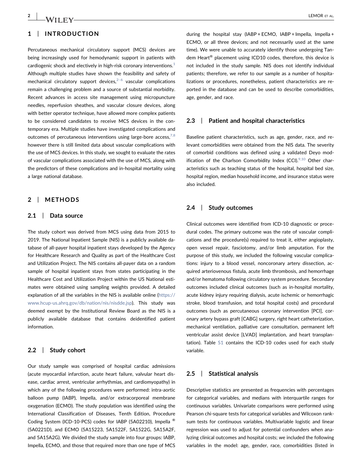#### 1 | INTRODUCTION

Percutaneous mechanical circulatory support (MCS) devices are being increasingly used for hemodynamic support in patients with cardiogenic shock and electively in high-risk coronary interventions. $<sup>1</sup>$  $<sup>1</sup>$  $<sup>1</sup>$ </sup> Although multiple studies have shown the feasibility and safety of mechanical circulatory support devices, $2-6$  vascular complications remain a challenging problem and a source of substantial morbidity. Recent advances in access site management using micropuncture needles, reperfusion sheathes, and vascular closure devices, along with better operator technique, have allowed more complex patients to be considered candidates to receive MCS devices in the contemporary era. Multiple studies have investigated complications and outcomes of percutaneous interventions using large-bore access, $7,8$ however there is still limited data about vascular complications with the use of MCS devices. In this study, we sought to evaluate the rates of vascular complications associated with the use of MCS, along with the predictors of these complications and in‐hospital mortality using a large national database.

#### 2 | METHODS

#### 2.1 | Data source

The study cohort was derived from MCS using data from 2015 to 2019. The National Inpatient Sample (NIS) is a publicly available database of all‐payer hospital inpatient stays developed by the Agency for Healthcare Research and Quality as part of the Healthcare Cost and Utilization Project. The NIS contains all‐payer data on a random sample of hospital inpatient stays from states participating in the Healthcare Cost and Utilization Project within the US National estimates were obtained using sampling weights provided. A detailed explanation of all the variables in the NIS is available online [\(https://](https://www.hcup-us.ahrq.gov/db/nation/nis/nisdde.jsp) [www.hcup-us.ahrq.gov/db/nation/nis/nisdde.jsp](https://www.hcup-us.ahrq.gov/db/nation/nis/nisdde.jsp)). This study was deemed exempt by the Institutional Review Board as the NIS is a publicly available database that contains deidentified patient information.

#### 2.2 | Study cohort

Our study sample was comprised of hospital cardiac admissions (acute myocardial infarction, acute heart failure, valvular heart disease, cardiac arrest, ventricular arrhythmias, and cardiomyopathy) in which any of the following procedures were performed: intra‐aortic balloon pump (IABP), Impella, and/or extracorporeal membrane oxygenation (ECMO). The study population was identified using the International Classification of Diseases, Tenth Edition, Procedure Coding System (ICD‐10‐PCS) codes for IABP (5A02210), Impella ® (5A0221D), and ECMO (5A15223, 5A1522F, 5A1522G, 5A15A2F, and 5A15A2G). We divided the study sample into four groups: IABP, Impella, ECMO, and those that required more than one type of MCS during the hospital stay (IABP + ECMO, IABP + Impella, Impella + ECMO, or all three devices; and not necessarily used at the same time). We were unable to accurately identify those undergoing Tandem Heart® placement using ICD10 codes, therefore, this device is not included in the study sample. NIS does not identify individual patients; therefore, we refer to our sample as a number of hospitalizations or procedures, nonetheless, patient characteristics are reported in the database and can be used to describe comorbidities, age, gender, and race.

#### 2.3 | Patient and hospital characteristics

Baseline patient characteristics, such as age, gender, race, and relevant comorbidities were obtained from the NIS data. The severity of comorbid conditions was defined using a validated Deyo modification of the Charlson Comorbidity Index (CCI). $9,10$  Other characteristics such as teaching status of the hospital, hospital bed size, hospital region, median household income, and insurance status were also included.

#### 2.4 | Study outcomes

Clinical outcomes were identified from ICD‐10 diagnostic or procedural codes. The primary outcome was the rate of vascular complications and the procedure(s) required to treat it, either angioplasty, open vessel repair, fasciotomy, and/or limb amputation. For the purpose of this study, we included the following vascular complications: injury to a blood vessel, noncoronary artery dissection, acquired arteriovenous fistula, acute limb thrombosis, and hemorrhage and/or hematoma following circulatory system procedure. Secondary outcomes included clinical outcomes (such as in‐hospital mortality, acute kidney injury requiring dialysis, acute ischemic or hemorrhagic stroke, blood transfusion, and total hospital costs) and procedural outcomes (such as percutaneous coronary intervention [PCI], coronary artery bypass graft [CABG] surgery, right heart catheterization, mechanical ventilation, palliative care consultation, permanent left ventricular assist device [LVAD] implantation, and heart transplantation). Table S1 contains the ICD-10 codes used for each study variable.

#### 2.5 | Statistical analysis

Descriptive statistics are presented as frequencies with percentages for categorical variables, and medians with interquartile ranges for continuous variables. Univariate comparisons were performed using Pearson chi-square tests for categorical variables and Wilcoxon ranksum tests for continuous variables. Multivariable logistic and linear regression was used to adjust for potential confounders when analyzing clinical outcomes and hospital costs; we included the following variables in the model: age, gender, race, comorbidities (listed in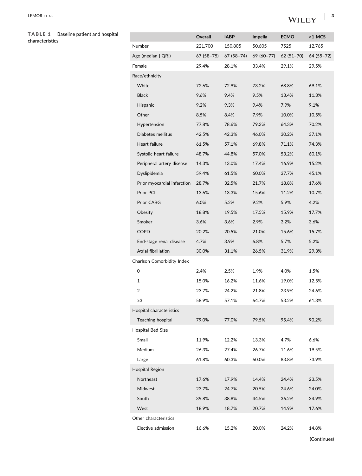# TABLE 1 Baseline patient and hospital<br>characteristics

<span id="page-4-0"></span>

| Baseline patient and hospital<br><b>TABLE 1</b><br>characteristics |                             | Overall    | <b>IABP</b> | Impella    | <b>ECMO</b> | >1 MCS     |
|--------------------------------------------------------------------|-----------------------------|------------|-------------|------------|-------------|------------|
|                                                                    | Number                      | 221,700    | 150,805     | 50,605     | 7525        | 12,765     |
|                                                                    | Age (median [IQR])          | 67 (58-75) | 67 (58-74)  | 69 (60-77) | $62(51-70)$ | 64 (55-72) |
|                                                                    | Female                      | 29.4%      | 28.1%       | 33.4%      | 29.1%       | 29.5%      |
|                                                                    | Race/ethnicity              |            |             |            |             |            |
|                                                                    | White                       | 72.6%      | 72.9%       | 73.2%      | 68.8%       | 69.1%      |
|                                                                    | <b>Black</b>                | 9.6%       | 9.4%        | 9.5%       | 13.4%       | 11.3%      |
|                                                                    | Hispanic                    | 9.2%       | 9.3%        | 9.4%       | 7.9%        | 9.1%       |
|                                                                    | Other                       | 8.5%       | 8.4%        | 7.9%       | 10.0%       | 10.5%      |
|                                                                    | Hypertension                | 77.8%      | 78.6%       | 79.3%      | 64.3%       | 70.2%      |
|                                                                    | Diabetes mellitus           | 42.5%      | 42.3%       | 46.0%      | 30.2%       | 37.1%      |
|                                                                    | Heart failure               | 61.5%      | 57.1%       | 69.8%      | 71.1%       | 74.3%      |
|                                                                    | Systolic heart failure      | 48.7%      | 44.8%       | 57.0%      | 53.2%       | 60.1%      |
|                                                                    | Peripheral artery disease   | 14.3%      | 13.0%       | 17.4%      | 16.9%       | 15.2%      |
|                                                                    | Dyslipidemia                | 59.4%      | 61.5%       | 60.0%      | 37.7%       | 45.1%      |
|                                                                    | Prior myocardial infarction | 28.7%      | 32.5%       | 21.7%      | 18.8%       | 17.6%      |
|                                                                    | Prior PCI                   | 13.6%      | 13.3%       | 15.6%      | 11.2%       | 10.7%      |
|                                                                    | Prior CABG                  | 6.0%       | 5.2%        | 9.2%       | 5.9%        | 4.2%       |
|                                                                    | Obesity                     | 18.8%      | 19.5%       | 17.5%      | 15.9%       | 17.7%      |
|                                                                    | Smoker                      | 3.6%       | 3.6%        | 2.9%       | 3.2%        | 3.6%       |
|                                                                    | <b>COPD</b>                 | 20.2%      | 20.5%       | 21.0%      | 15.6%       | 15.7%      |
|                                                                    | End-stage renal disease     | 4.7%       | 3.9%        | 6.8%       | 5.7%        | 5.2%       |
|                                                                    | Atrial fibrillation         | 30.0%      | 31.1%       | 26.5%      | 31.9%       | 29.3%      |
|                                                                    | Charlson Comorbidity Index  |            |             |            |             |            |
|                                                                    | 0                           | 2.4%       | 2.5%        | 1.9%       | 4.0%        | 1.5%       |
|                                                                    | $\mathbf{1}$                | 15.0%      | 16.2%       | 11.6%      | 19.0%       | 12.5%      |
|                                                                    | 2                           | 23.7%      | 24.2%       | 21.8%      | 23.9%       | 24.6%      |
|                                                                    | $\geq$ 3                    | 58.9%      | 57.1%       | 64.7%      | 53.2%       | 61.3%      |
|                                                                    | Hospital characteristics    |            |             |            |             |            |
|                                                                    | Teaching hospital           | 79.0%      | 77.0%       | 79.5%      | 95.4%       | 90.2%      |
|                                                                    | <b>Hospital Bed Size</b>    |            |             |            |             |            |
|                                                                    | Small                       | 11.9%      | 12.2%       | 13.3%      | 4.7%        | 6.6%       |
|                                                                    | Medium                      | 26.3%      | 27.4%       | 26.7%      | 11.6%       | 19.5%      |
|                                                                    | Large                       | 61.8%      | 60.3%       | 60.0%      | 83.8%       | 73.9%      |
|                                                                    | <b>Hospital Region</b>      |            |             |            |             |            |
|                                                                    | Northeast                   | 17.6%      | 17.9%       | 14.4%      | 24.4%       | 23.5%      |
|                                                                    | Midwest                     | 23.7%      | 24.7%       | 20.5%      | 24.6%       | 24.0%      |
|                                                                    | South                       | 39.8%      | 38.8%       | 44.5%      | 36.2%       | 34.9%      |
|                                                                    | West                        | 18.9%      | 18.7%       | 20.7%      | 14.9%       | 17.6%      |
|                                                                    | Other characteristics       |            |             |            |             |            |
|                                                                    | Elective admission          | 16.6%      | 15.2%       | 20.0%      | 24.2%       | 14.8%      |
|                                                                    |                             |            |             |            |             |            |

(Continues)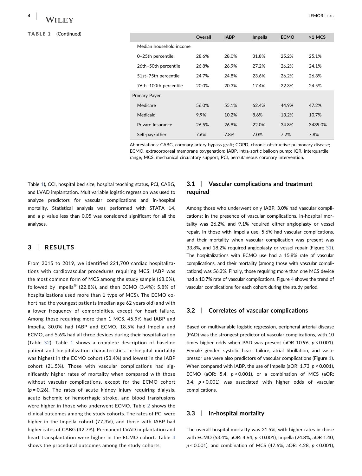| <b>TABLE 1</b><br>(Continued) |                         | <b>Overall</b> | <b>IABP</b> | Impella | <b>ECMO</b> | $>1$ MCS |
|-------------------------------|-------------------------|----------------|-------------|---------|-------------|----------|
|                               | Median household income |                |             |         |             |          |
|                               | 0-25th percentile       | 28.6%          | 28.0%       | 31.8%   | 25.2%       | 25.1%    |
|                               | 26th-50th percentile    | 26.8%          | 26.9%       | 27.2%   | 26.2%       | 24.1%    |
|                               | 51st-75th percentile    | 24.7%          | 24.8%       | 23.6%   | 26.2%       | 26.3%    |
|                               | 76th-100th percentile   | 20.0%          | 20.3%       | 17.4%   | 22.3%       | 24.5%    |
|                               | <b>Primary Payer</b>    |                |             |         |             |          |
|                               | Medicare                | 56.0%          | 55.1%       | 62.4%   | 44.9%       | 47.2%    |
|                               | Medicaid                | 9.9%           | 10.2%       | 8.6%    | 13.2%       | 10.7%    |
|                               | Private Insurance       | 26.5%          | 26.9%       | 22.0%   | 34.8%       | 3439.0%  |
|                               | Self-pay/other          | 7.6%           | 7.8%        | 7.0%    | 7.2%        | 7.8%     |

Abbreviations: CABG, coronary artery bypass graft; COPD, chronic obstructive pulmonary disease; ECMO, extracorporeal membrane oxygenation; IABP, intra‐aortic balloon pump; IQR, interquartile range; MCS, mechanical circulatory support; PCI, percutaneous coronary intervention.

Table [1](#page-4-0)), CCI, hospital bed size, hospital teaching status, PCI, CABG, and LVAD implantation. Multivariable logistic regression was used to analyze predictors for vascular complications and in‐hospital mortality. Statistical analysis was performed with STATA 14, and a  $p$  value less than 0.05 was considered significant for all the analyses.

#### 3 | RESULTS

From 2015 to 2019, we identified 221,700 cardiac hospitalizations with cardiovascular procedures requiring MCS; IABP was the most common form of MCS among the study sample (68.0%), followed by Impella® (22.8%), and then ECMO (3.4%); 5.8% of hospitalizations used more than 1 type of MCS). The ECMO cohort had the youngest patients (median age 62 years old) and with a lower frequency of comorbidities, except for heart failure. Among those requiring more than 1 MCS, 45.9% had IABP and Impella, 30.0% had IABP and ECMO, 18.5% had Impella and ECMO, and 5.6% had all three devices during their hospitalization (Table S2). Table [1](#page-4-0) shows a complete description of baseline patient and hospitalization characteristics. In‐hospital mortality was highest in the ECMO cohort (53.4%) and lowest in the IABP cohort (21.5%). Those with vascular complications had significantly higher rates of mortality when compared with those without vascular complications, except for the ECMO cohort  $(p = 0.26)$ . The rates of acute kidney injury requiring dialysis, acute ischemic or hemorrhagic stroke, and blood transfusions were higher in those who underwent ECMO. Table [2](#page-6-0) shows the clinical outcomes among the study cohorts. The rates of PCI were higher in the Impella cohort (77.3%), and those with IABP had higher rates of CABG (42.7%). Permanent LVAD implantation and heart transplantation were higher in the ECMO cohort. Table [3](#page-6-1) shows the procedural outcomes among the study cohorts.

#### 3.1 | Vascular complications and treatment required

Among those who underwent only IABP, 3.0% had vascular complications; in the presence of vascular complications, in‐hospital mortality was 26.2%, and 9.1% required either angioplasty or vessel repair. In those with Impella use, 5.6% had vascular complications, and their mortality when vascular complication was present was 33.8%, and 18.2% required angioplasty or vessel repair (Figure S1). The hospitalizations with ECMO use had a 15.8% rate of vascular complications, and their mortality (among those with vascular complications) was 56.3%. Finally, those requiring more than one MCS device had a 10.7% rate of vascular complications. Figure [4](#page-9-0) shows the trend of vascular complications for each cohort during the study period.

#### 3.2 | Correlates of vascular complications

Based on multivariable logistic regression, peripheral arterial disease (PAD) was the strongest predictor of vascular complications, with 10 times higher odds when PAD was present (aOR 10.96,  $p < 0.001$ ). Female gender, systolic heart failure, atrial fibrillation, and vasopressor use were also predictors of vascular complications (Figure [1\)](#page-7-0). When compared with IABP, the use of Impella (aOR: 1.73, p < 0.001), ECMO (aOR: 5.4,  $p < 0.001$ ), or a combination of MCS (aOR: 3.4,  $p < 0.001$ ) was associated with higher odds of vascular complications.

#### 3.3 | In‐hospital mortality

The overall hospital mortality was 21.5%, with higher rates in those with ECMO (53.4%, aOR: 4.64, p < 0.001), Impella (24.8%, aOR 1.40, p < 0.001), and combination of MCS (47.6%, aOR: 4.28, p < 0.001),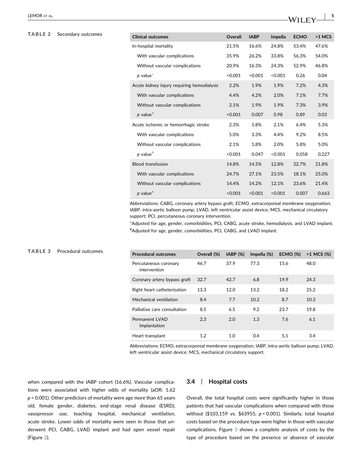#### <span id="page-6-0"></span>TABLE 2 Secondary outcomes

<span id="page-6-1"></span>TABLE 3 Procedural outcomes

| <b>Clinical outcomes</b>                   | Overall | <b>IABP</b> | Impella | <b>ECMO</b> | $>1$ MCS |
|--------------------------------------------|---------|-------------|---------|-------------|----------|
| In-hospital mortality                      | 21.5%   | 16.6%       | 24.8%   | 53.4%       | 47.6%    |
| With vascular complications                | 35.9%   | 26.2%       | 33.8%   | 56.3%       | 54.0%    |
| Without vascular complications             | 20.9%   | 16.3%       | 24.3%   | 52.9%       | 46.8%    |
| $p$ value*                                 | < 0.001 | < 0.001     | < 0.001 | 0.26        | 0.04     |
| Acute kidney injury requiring hemodialysis | 2.2%    | 1.9%        | 1.9%    | 7.2%        | 4.3%     |
| With vascular complications                | 4.4%    | 4.2%        | 2.0%    | 7.1%        | 7.7%     |
| Without vascular complications             | 2.1%    | 1.9%        | 1.9%    | 7.3%        | 3.9%     |
| $p$ value <sup>#</sup>                     | < 0.001 | 0.007       | 0.98    | 0.89        | 0.03     |
| Acute ischemic or hemorrhagic stroke       | 2.3%    | 1.8%        | 2.1%    | 6.4%        | 5.3%     |
| With vascular complications                | 5.0%    | 3.3%        | 4.4%    | 9.2%        | 8.5%     |
| Without vascular complications             | 2.1%    | 1.8%        | 2.0%    | 5.8%        | 5.0%     |
| $p$ value <sup>#</sup>                     | < 0.001 | 0.047       | < 0.001 | 0.058       | 0.227    |
| <b>Blood transfusion</b>                   | 14.8%   | 14.5%       | 12.8%   | 22.7%       | 21.8%    |
| With vascular complications                | 24.7%   | 27.1%       | 23.5%   | 18.1%       | 25.0%    |
| Without vascular complications             | 14.4%   | 14.2%       | 12.1%   | 23.6%       | 21.4%    |
| $p$ value <sup>#</sup>                     | < 0.001 | < 0.001     | < 0.001 | 0.007       | 0.663    |

Abbreviations: CABG, coronary artery bypass graft; ECMO, extracorporeal membrane oxygenation; IABP, intra‐aortic balloon pump; LVAD, left ventricular assist device; MCS, mechanical circulatory support; PCI, percutaneous coronary intervention.

<span id="page-6-3"></span><span id="page-6-2"></span>\*Adjusted for age, gender, comorbidities, PCI, CABG, acute stroke, hemodialysis, and LVAD implant. # Adjusted for age, gender, comorbidities, PCI, CABG, and LVAD implant.

| <b>Procedural outcomes</b>            | Overall (%) | IABP (%) | Impella (%) | <b>ECMO (%)</b> | >1 MCS (%) |
|---------------------------------------|-------------|----------|-------------|-----------------|------------|
| Percutaneous coronary<br>intervention | 46.7        | 37.9     | 77.3        | 15.6            | 48.0       |
| Coronary artery bypass graft          | 32.7        | 42.7     | 6.8         | 19.9            | 24.3       |
| Right heart catheterization           | 13.3        | 12.0     | 13.2        | 18.2            | 25.2       |
| Mechanical ventilation                | 8.4         | 7.7      | 10.2        | 8.7             | 10.3       |
| Palliative care consultation          | 8.5         | 6.5      | 9.2         | 23.7            | 19.8       |
| <b>Permanent LVAD</b><br>Implantation | 2.3         | 2.0      | 1.3         | 7.6             | 6.1        |
| Heart transplant                      | 1.2         | 1.0      | 0.4         | 5.1             | 3.4        |

Abbreviations: ECMO, extracorporeal membrane oxygenation; IABP, intra‐aortic balloon pump; LVAD, left ventricular assist device; MCS, mechanical circulatory support.

when compared with the IABP cohort (16.6%). Vascular complications were associated with higher odds of mortality (aOR: 1.62  $p$  < 0.001). Other predictors of mortality were age more than 65 years old, female gender, diabetes, end‐stage renal disease (ESRD), vasopressor use, teaching hospital, mechanical ventilation, acute stroke. Lower odds of mortality were seen in those that underwent PCI, CABG, LVAD implant and had open vessel repair (Figure [2](#page-8-0)).

#### 3.4 | Hospital costs

Overall, the total hospital costs were significantly higher in those patients that had vascular complications when compared with those without (\$103,159 vs. \$63955, p < 0.001). Similarly, total hospital costs based on the procedure type were higher in those with vascular complications. Figure [3](#page-9-1) shows a complete analysis of costs by the type of procedure based on the presence or absence of vascular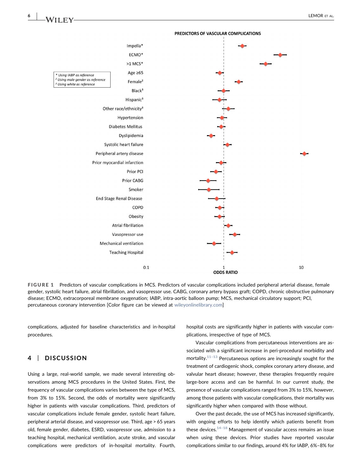<span id="page-7-0"></span>

FIGURE 1 Predictors of vascular complications in MCS. Predictors of vascular complications included peripheral arterial disease, female gender, systolic heart failure, atrial fibrillation, and vasopressor use. CABG, coronary artery bypass graft; COPD, chronic obstructive pulmonary disease; ECMO, extracorporeal membrane oxygenation; IABP, intra‐aortic balloon pump; MCS, mechanical circulatory support; PCI, percutaneous coronary intervention [Color figure can be viewed at [wileyonlinelibrary.com\]](http://wileyonlinelibrary.com)

complications, adjusted for baseline characteristics and in‐hospital procedures.

#### 4 | DISCUSSION

Using a large, real‐world sample, we made several interesting observations among MCS procedures in the United States. First, the frequency of vascular complications varies between the type of MCS, from 3% to 15%. Second, the odds of mortality were significantly higher in patients with vascular complications. Third, predictors of vascular complications include female gender, systolic heart failure, peripheral arterial disease, and vasopressor use. Third, age > 65 years old, female gender, diabetes, ESRD, vasopressor use, admission to a teaching hospital, mechanical ventilation, acute stroke, and vascular complications were predictors of in‐hospital mortality. Fourth, hospital costs are significantly higher in patients with vascular complications, irrespective of type of MCS.

Vascular complications from percutaneous interventions are associated with a significant increase in peri‐procedural morbidity and mortality. $11-13$  Percutaneous options are increasingly sought for the treatment of cardiogenic shock, complex coronary artery disease, and valvular heart disease; however, these therapies frequently require large‐bore access and can be harmful. In our current study, the presence of vascular complications ranged from 3% to 15%, however, among those patients with vascular complications, their mortality was significantly higher when compared with those without.

Over the past decade, the use of MCS has increased significantly, with ongoing efforts to help identify which patients benefit from these devices. $14-18$  $14-18$  Management of vascular access remains an issue when using these devices. Prior studies have reported vascular complications similar to our findings, around 4% for IABP, 6%–8% for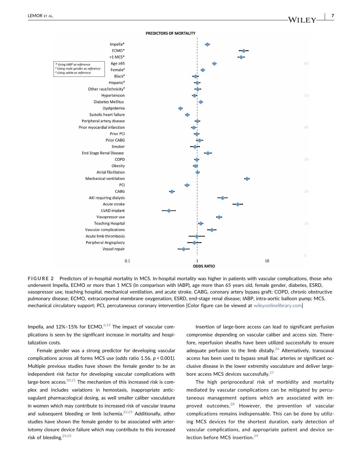<span id="page-8-0"></span>



FIGURE 2 Predictors of in-hospital mortality in MCS. In-hospital mortality was higher in patients with vascular complications, those who underwent Impella, ECMO or more than 1 MCS (in comparison with IABP), age more than 65 years old, female gender, diabetes, ESRD, vasopressor use, teaching hospital, mechanical ventilation, and acute stroke. CABG, coronary artery bypass graft; COPD, chronic obstructive pulmonary disease; ECMO, extracorporeal membrane oxygenation; ESRD, end-stage renal disease; IABP, intra-aortic balloon pump; MCS, mechanical circulatory support; PCI, percutaneous coronary intervention [Color figure can be viewed at [wileyonlinelibrary.com\]](http://wileyonlinelibrary.com)

Impella, and 12%-15% for ECMO.<sup>[6,19](#page-10-6)</sup> The impact of vascular complications is seen by the significant increase in mortality and hospitalization costs.

Female gender was a strong predictor for developing vascular complications across all forms MCS use (odds ratio 1.56,  $p < 0.001$ ). Multiple previous studies have shown the female gender to be an independent risk factor for developing vascular complications with large-bore access. $20,21$  The mechanism of this increased risk is complex and includes variations in hemostasis, inappropriate anticoagulant pharmacological dosing, as well smaller caliber vasculature in women which may contribute to increased risk of vascular trauma and subsequent bleeding or limb ischemia.<sup>[22,23](#page-10-8)</sup> Additionally, other studies have shown the female gender to be associated with arteriotomy closure device failure which may contribute to this increased risk of bleeding[.24,25](#page-11-0)

Insertion of large‐bore access can lead to significant perfusion compromise depending on vascular caliber and access size. Therefore, reperfusion sheaths have been utilized successfully to ensure adequate perfusion to the limb distally.<sup>[26](#page-11-1)</sup> Alternatively, transcaval access has been used to bypass small iliac arteries or significant occlusive disease in the lower extremity vasculature and deliver large‐ bore access MCS devices successfully.<sup>[27](#page-11-2)</sup>

The high periprocedural risk of morbidity and mortality mediated by vascular complications can be mitigated by percutaneous management options which are associated with improved outcomes.[28](#page-11-3) However, the prevention of vascular complications remains indispensable. This can be done by utilizing MCS devices for the shortest duration, early detection of vascular complications, and appropriate patient and device se-lection before MCS insertion.<sup>[29](#page-11-4)</sup>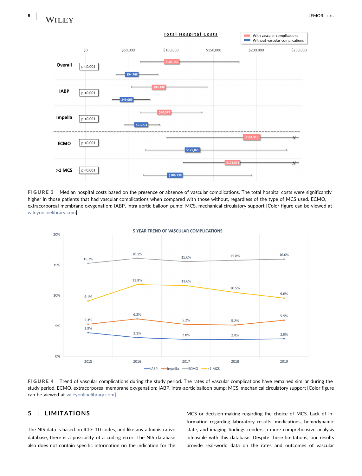

FIGURE 3 Median hospital costs based on the presence or absence of vascular complications. The total hospital costs were significantly higher in those patients that had vascular complications when compared with those without, regardless of the type of MCS used. ECMO, extracorporeal membrane oxygenation; IABP, intra‐aortic balloon pump; MCS, mechanical circulatory support [Color figure can be viewed at [wileyonlinelibrary.com\]](http://wileyonlinelibrary.com)

<span id="page-9-0"></span>

#### FIGURE 4 Trend of vascular complications during the study period. The rates of vascular complications have remained similar during the study period. ECMO, extracorporeal membrane oxygenation; IABP, intra‐aortic balloon pump; MCS, mechanical circulatory support [Color figure can be viewed at [wileyonlinelibrary.com](http://wileyonlinelibrary.com)]

#### 5 | LIMITATIONS

The NIS data is based on ICD‐ 10 codes, and like any administrative database, there is a possibility of a coding error. The NIS database also does not contain specific information on the indication for the

MCS or decision‐making regarding the choice of MCS. Lack of information regarding laboratory results, medications, hemodynamic state, and imaging findings renders a more comprehensive analysis infeasible with this database. Despite these limitations, our results provide real-world data on the rates and outcomes of vascular

<span id="page-9-1"></span>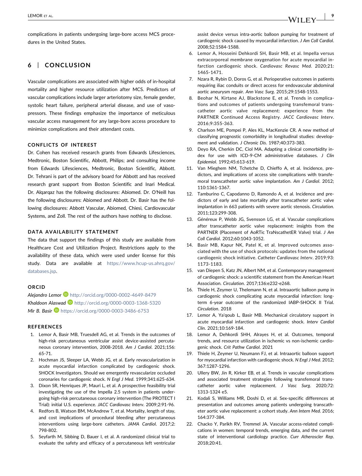complications in patients undergoing large‐bore access MCS procedures in the United States.

#### 6 | CONCLUSION

Vascular complications are associated with higher odds of in‐hospital mortality and higher resource utilization after MCS. Predictors of vascular complications include larger arteriotomy size, female gender, systolic heart failure, peripheral arterial disease, and use of vasopressors. These findings emphasize the importance of meticulous vascular access management for any large‐bore access procedure to minimize complications and their attendant costs.

#### CONFLICTS OF INTEREST

Dr. Cohen has received research grants from Edwards Lifesciences, Medtronic, Boston Scientific, Abbott, Philips; and consulting income from Edwards Lifesciences, Medtronic, Boston Scientific, Abbott. Dr. Tehrani is part of the advisory board for Abbott and has received research grant support from Boston Scientific and Inari Medical. Dr. Alqarqaz has the following disclosures: Abiomed. Dr. O'Neill has the following disclosures: Abiomed and Abbott. Dr. Basir has the following disclosures: Abbott Vascular, Abiomed, Chiesi, Cardiovascular Systems, and Zoll. The rest of the authors have nothing to disclose.

#### DATA AVAILABILITY STATEMENT

The data that support the findings of this study are available from Healthcare Cost and Utilization Project. Restrictions apply to the availability of these data, which were used under license for this study. Data are available at [https://www.hcup-us.ahrq.gov/](https://www.hcup-us.ahrq.gov/databases.jsp) [databases.jsp](https://www.hcup-us.ahrq.gov/databases.jsp).

#### ORCID

Alejandro Lemor D <http://orcid.org/0000-0002-4649-8479> Khaldoon Alaswad <http://orcid.org/0000-0003-1368-5320> Mir B. Basir <https://orcid.org/0000-0003-3486-6753>

#### REFERENCES

- <span id="page-10-0"></span>1. Lemor A, Basir MB, Truesdell AG, et al. Trends in the outcomes of high-risk percutaneous ventricular assist device-assisted percutaneous coronary intervention, 2008‐2018. Am J Cardiol. 2021;156: 65‐71.
- <span id="page-10-1"></span>2. Hochman JS, Sleeper LA, Webb JG, et al. Early revascularization in acute myocardial infarction complicated by cardiogenic shock. SHOCK Investigators. Should we emergently revascularize occluded coronaries for cardiogenic shock. N Engl J Med. 1999;341:625‐634.
- 3. Dixon SR, Henriques JP, Mauri L, et al. A prospective feasibility trial investigating the use of the Impella 2.5 system in patients undergoing high‐risk percutaneous coronary intervention (The PROTECT I Trial): initial U.S. experience. JACC Cardiovasc Interv. 2009;2:91‐96.
- 4. Redfors B, Watson BM, McAndrew T, et al. Mortality, length of stay, and cost implications of procedural bleeding after percutaneous interventions using large‐bore catheters. JAMA Cardiol. 2017;2: 798‐802.
- 5. Seyfarth M, Sibbing D, Bauer I, et al. A randomized clinical trial to evaluate the safety and efficacy of a percutaneous left ventricular

assist device versus intra‐aortic balloon pumping for treatment of cardiogenic shock caused by myocardial infarction. J Am Coll Cardiol. 2008;52:1584‐1588.

- <span id="page-10-6"></span>6. Lemor A, Hosseini Dehkordi SH, Basir MB, et al. Impella versus extracorporeal membrane oxygenation for acute myocardial infarction cardiogenic shock. Cardiovasc Revasc Med. 2020;21: 1465‐1471.
- <span id="page-10-2"></span>7. Nzara R, Rybin D, Doros G, et al. Perioperative outcomes in patients requiring iliac conduits or direct access for endovascular abdominal aortic aneurysm repair. Ann Vasc Surg. 2015;29:1548‐1553.
- Beohar N, Kirtane AJ, Blackstone E, et al. Trends in complications and outcomes of patients undergoing transfemoral transcatheter aortic valve replacement: experience from the PARTNER Continued Access Registry. JACC Cardiovasc Interv. 2016;9:355‐363.
- <span id="page-10-3"></span>9. Charlson ME, Pompei P, Ales KL, MacKenzie CR. A new method of classifying prognostic comorbidity in longitudinal studies: development and validation. J Chronic Dis. 1987;40:373‐383.
- 10. Deyo RA, Cherkin DC, Ciol MA. Adapting a clinical comorbidity index for use with ICD‐9‐CM administrative databases. J Clin Epidemiol. 1992;45:613‐619.
- <span id="page-10-4"></span>11. Van Mieghem NM, Tchetche D, Chieffo A, et al. Incidence, predictors, and implications of access site complications with transfemoral transcatheter aortic valve implantation. Am J Cardiol. 2012; 110:1361‐1367.
- 12. Tamburino C, Capodanno D, Ramondo A, et al. Incidence and predictors of early and late mortality after transcatheter aortic valve implantation in 663 patients with severe aortic stenosis. Circulation. 2011:123:299-308
- 13. Généreux P, Webb JG, Svensson LG, et al. Vascular complications after transcatheter aortic valve replacement: insights from the PARTNER (Placement of AoRTic TraNscathetER Valve) trial. J Am Coll Cardiol. 2012;60:1043‐1052.
- <span id="page-10-5"></span>14. Basir MB, Kapur NK, Patel K, et al. Improved outcomes associated with the use of shock protocols: updates from the national cardiogenic shock initiative. Catheter Cardiovasc Interv. 2019;93: 1173‐1183.
- 15. van Diepen S, Katz JN, Albert NM, et al. Contemporary management of cardiogenic shock: a scientific statement from the American Heart Association. Circulation. 2017;136:e232‐e268.
- 16. Thiele H, Zeymer U, Thelemann N, et al. Intraaortic balloon pump in cardiogenic shock complicating acute myocardial infarction: long‐ term 6‐year outcome of the randomized IABP‐SHOCK II Trial. Circulation. 2018
- 17. Lemor A, Ya'qoub L, Basir MB. Mechanical circulatory support in acute myocardial infarction and cardiogenic shock. Interv Cardiol Clin. 2021;10:169‐184.
- 18. Lemor A, Dehkordi SHH, Alrayes H, et al. Outcomes, temporal trends, and resource utilization in ischemic vs non‐ischemic cardiogenic shock. Crit Pathw Cardiol. 2021
- 19. Thiele H, Zeymer U, Neumann FJ, et al. Intraaortic balloon support for myocardial infarction with cardiogenic shock. N Engl J Med. 2012; 367:1287‐1296.
- <span id="page-10-7"></span>20. Ullery BW, Jin R, Kirker EB, et al. Trends in vascular complications and associated treatment strategies following transfemoral transcatheter aortic valve replacement. J Vasc Surg. 2020;72: 1313‐1324 e5.
- 21. Kodali S, Williams MR, Doshi D, et al. Sex-specific differences at presentation and outcomes among patients undergoing transcatheter aortic valve replacement: a cohort study. Ann Intern Med. 2016; 164:377‐384.
- <span id="page-10-8"></span>22. Chacko Y, Parikh RV, Tremmel JA. Vascular access-related complications in women: temporal trends, emerging data, and the current state of interventional cardiology practice. Curr Atheroscler Rep. 2018;20:41.